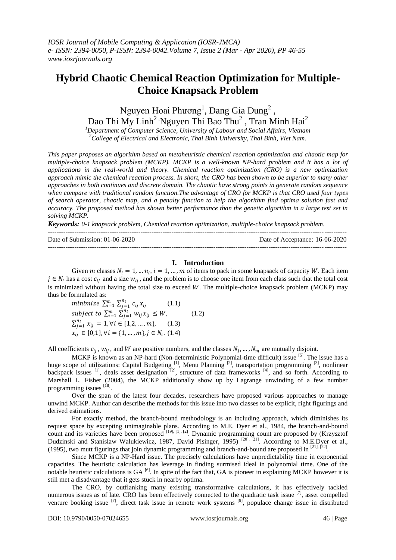# **Hybrid Chaotic Chemical Reaction Optimization for Multiple-Choice Knapsack Problem**

Nguyen Hoai Phương<sup>1</sup>, Dang Gia Dung<sup>2</sup>, Dao Thi My Linh $^2$  Nguyen Thi Bao Thu $^2$  , Tran Minh Hai $^2$ 

*<sup>1</sup>Department of Computer Science, University of Labour and Social Affairs, Vietnam <sup>2</sup>College of Electrical and Electronic, Thai Binh University, Thai Binh, Viet Nam.*

*This paper proposes an algorithm based on metaheuristic chemical reaction optimization and chaotic map for multiple-choice knapsack problem (MCKP). MCKP is a well-known NP-hard problem and it has a lot of applications in the real-world and theory. Chemical reaction optimization (CRO) is a new optimization approach mimic the chemical reaction process. In short, the CRO has been shown to be superior to many other approaches in both continues and discrete domain. The chaotic have strong points in generate random sequence when compare with traditional random function.The advantage of CRO for MCKP is that CRO used four types of search operator, chaotic map, and a penalty function to help the algorithm find optima solution fast and accuracy. The proposed method has shown better performance than the genetic algorithm in a large test set in solving MCKP.*

*Keywords: 0-1 knapsack problem, Chemical reaction optimization, multiple-choice knapsack problem.*

| Date of Submission: $01-06-2020$ | Date of Acceptance: 16-06-2020 |
|----------------------------------|--------------------------------|
|                                  |                                |

## **I. Introduction**

Given *m* classes  $N_i = 1, ..., n_i$ ,  $i = 1, ..., m$  of items to pack in some knapsack of capacity *W*. Each item  $j \in N_i$  has a cost  $c_{ij}$  and a size  $w_{ij}$ , and the problem is to choose one item from each class such that the total cost is minimized without having the total size to exceed  $W$ . The multiple-choice knapsack problem (MCKP) may thus be formulated as:

minimize  $\sum_{i=1}^{m} \sum_{j=1}^{n_i} c_{ij} x_{ij}$  (1.1) subject to  $\sum_{i=1}^{m} \sum_{j=1}^{n_i} w_{ij} x_{ij} \leq W$ , (1.2)  $\sum_{j=1}^{n_i} x_{ij} = 1, \forall i \in \{1, 2, ..., m\},$  (1.3)  $x_{ij} \in \{0,1\}, \forall i = \{1, ..., m\}, j \in N_i$ . (1.4)

All coefficients  $c_{ij}$ ,  $w_{ij}$ , and W are positive numbers, and the classes  $N_1$ , ...,  $N_m$  are mutually disjoint.

MCKP is known as an NP-hard (Non-deterministic Polynomial-time difficult) issue <sup>[5]</sup>. The issue has a huge scope of utilizations: Capital Budgeting  $[1]$ , Menu Planning  $[2]$ , transportation programming  $[3]$ , nonlinear backpack issues  $^{[1]}$ , deals asset designation  $^{[2]}$ , structure of data frameworks  $^{[4]}$ , and so forth. According to Marshall L. Fisher (2004), the MCKP additionally show up by Lagrange unwinding of a few number programming issues [18].

Over the span of the latest four decades, researchers have proposed various approaches to manage unwind MCKP. Author can describe the methods for this issue into two classes to be explicit, right figurings and derived estimations.

For exactly method, the branch-bound methodology is an including approach, which diminishes its request space by excepting unimaginable plans. According to M.E. Dyer et al., 1984, the branch-and-bound count and its varieties have been proposed [19], [1], [2]. Dynamic programming count are proposed by (Krzysztof Dudzinski and Stanislaw Walukiewicz, 1987, David Pisinger, 1995)<sup>[20], [21]</sup>. According to M.E.Dyer et al., (1995), two mutt figurings that join dynamic programming and branch-and-bound are proposed in  $[21]$ ,  $[22]$ .

Since MCKP is a NP-Hard issue. The precisely calculations have unpredictability time in exponential capacities. The heuristic calculation has leverage in finding surmised ideal in polynomial time. One of the notable heuristic calculations is  $GA$ <sup>[6]</sup>. In spite of the fact that,  $GA$  is pioneer in explaining MCKP however it is still met a disadvantage that it gets stuck in nearby optima.

The CRO, by outflanking many existing transformative calculations, it has effectively tackled numerous issues as of late. CRO has been effectively connected to the quadratic task issue [7], asset compelled venture booking issue  $^{[7]}$ , direct task issue in remote work systems  $^{[8]}$ , populace change issue in distributed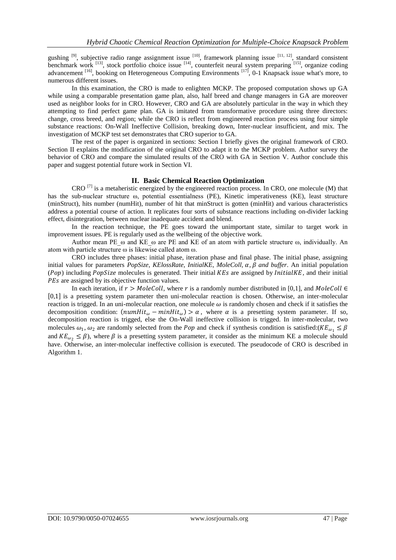gushing <sup>[9]</sup>, subjective radio range assignment issue <sup>[10]</sup>, framework planning issue <sup>[11, 12]</sup>, standard consistent benchmark work  $^{[13]}$ , stock portfolio choice issue  $^{[14]}$ , counterfeit neural system preparing  $^{[15]}$ , organize coding advancement <sup>[16]</sup>, booking on Heterogeneous Computing Environments <sup>[17]</sup>, 0-1 Knapsack issue what's more, to numerous different issues.

In this examination, the CRO is made to enlighten MCKP. The proposed computation shows up GA while using a comparable presentation game plan, also, half breed and change managers in GA are moreover used as neighbor looks for in CRO. However, CRO and GA are absolutely particular in the way in which they attempting to find perfect game plan. GA is imitated from transformative procedure using three directors: change, cross breed, and region; while the CRO is reflect from engineered reaction process using four simple substance reactions: On-Wall Ineffective Collision, breaking down, Inter-nuclear insufficient, and mix. The investigation of MCKP test set demonstrates that CRO superior to GA.

The rest of the paper is organized in sections: Section I briefly gives the original framework of CRO. Section II explains the modification of the original CRO to adapt it to the MCKP problem. Author survey the behavior of CRO and compare the simulated results of the CRO with GA in Section V. Author conclude this paper and suggest potential future work in Section VI.

## **II. Basic Chemical Reaction Optimization**

CRO  $^{[7]}$  is a metaheristic energized by the engineered reaction process. In CRO, one molecule (M) that has the sub-nuclear structure ω, potential essentialness (PE), Kinetic imperativeness (KE), least structure (minStruct), hits number (numHit), number of hit that minStruct is gotten (minHit) and various characteristics address a potential course of action. It replicates four sorts of substance reactions including on-divider lacking effect, disintegration, between nuclear inadequate accident and blend.

In the reaction technique, the PE goes toward the unimportant state, similar to target work in improvement issues. PE is regularly used as the wellbeing of the objective work.

Author mean PE  $\omega$  and KE  $\omega$  are PE and KE of an atom with particle structure  $\omega$ , individually. An atom with particle structure ω is likewise called atom ω.

CRO includes three phases: initial phase, iteration phase and final phase. The initial phase, assigning initial values for parameters *PopSize, KElossRate, InitialKE, MoleColl,*  $\alpha$ *,*  $\beta$  *and buffer. An initial population* ( $Pop$ ) including  $PopSize$  molecules is generated. Their initial  $KEs$  are assigned by *InitialKE*, and their initial PEs are assigned by its objective function values.

In each iteration, if  $r > \text{MoleColl}$ , where r is a randomly number distributed in [0,1], and MoleColl  $\in$  0,1 is a presetting system parameter then uni-molecular reaction is chosen. Otherwise, an inter-molecular reaction is trigged. In an uni-molecular reaction, one molecule  $\omega$  is randomly chosen and check if it satisfies the decomposition condition:  $(numHit_\omega - minHit_\omega) > \alpha$ , where  $\alpha$  is a presetting system parameter. If so, decomposition reaction is trigged, else the On-Wall ineffective collision is trigged. In inter-molecular, two molecules  $\omega_1, \omega_2$  are randomly selected from the *Pop* and check if synthesis condition is satisfied:( $KE_{\omega_1} \leq \beta$ and  $KE_{\omega_2} \leq \beta$ ), where  $\beta$  is a presetting system parameter, it consider as the minimum KE a molecule should have. Otherwise, an inter-molecular ineffective collision is executed. The pseudocode of CRO is described in Algorithm 1.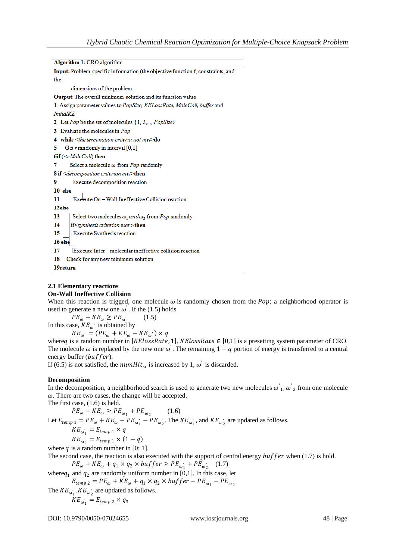```
Algorithm 1: CRO algorithm
```

| Input: Problem-specific information (the objective function f, constraints, and |
|---------------------------------------------------------------------------------|
| the                                                                             |
| dimensions of the problem                                                       |
| <b>Output:</b> The overall minimum solution and its function value              |
| 1 Assign parameter values to PopSize, KELossRate, MoleColl, buffer and          |
| <i>InitialKE</i>                                                                |
| 2 Let Pop be the set of molecules {1, 2,, PopSize}                              |
| 3 Evaluate the molecules in Pop                                                 |
| 4 while $\leq$ the termination criteria not met $\geq$ do                       |
| Get r randomly in interval [0,1]<br>5.                                          |
| 6if $(r > MoleColl)$ then                                                       |
| Select a molecule $\omega$ from Pop randomly<br>7                               |
| <b>8</b> if $\leq$ decomposition criterion met>then                             |
| Execute decomposition reaction<br>9                                             |
| 10<br>else                                                                      |
| Execute On - Wall Ineffective Collision reaction<br>11                          |
| 12else                                                                          |
| 13<br>Select two molecules $\omega_1$ and $\omega_2$ from Pop randomly          |
| $if$ synthesis criterion met > then<br>14                                       |
| 15<br><b>Execute Synthesis reaction</b>                                         |
| 16 else                                                                         |
| Execute Inter-molecular ineffective collision reaction<br>17                    |
| Check for any new minimum solution<br>18                                        |
| 19return                                                                        |
|                                                                                 |

# **2.1 Elementary reactions**

## **On-Wall Ineffective Collision**

When this reaction is trigged, one molecule  $\omega$  is randomly chosen from the Pop; a neighborhood operator is used to generate a new one  $\omega'$ . If the (1.5) holds.

 $PE_{\omega} + KE_{\omega} \geq PE_{\omega}$  $(1.5)$ In this case,  $KE_{\omega'}$  is obtained by

 $KE_{\omega}$ <sup>'</sup> =  $(PE_{\omega} + KE_{\omega} - KE_{\omega}$ ') × q

where q is a random number in [KElossRate, 1], KElossRate  $\in [0,1]$  is a presetting system parameter of CRO. The molecule  $\omega$  is replaced by the new one  $\omega'$ . The remaining  $1 - q$  portion of energy is transferred to a central energy buffer  $(buffer)$ .

If (6.5) is not satisfied, the  $numHit_{\omega}$  is increased by 1,  $\omega'$  is discarded.

# **Decomposition**

In the decomposition, a neighborhood search is used to generate two new molecules  $\omega'_1$ ,  $\omega'_2$  from one molecule  $\omega$ . There are two cases, the change will be accepted.

The first case, (1.6) is held.

 $PE_{\omega} + KE_{\omega} \ge PE_{\omega'_{1}} + PE_{\omega'_{2}}$  $(1.6)$ Let  $E_{temp\ 1} = PE_{\omega} + KE_{\omega} - PE_{\omega_1'} - PE_{\omega_2'}$ . The  $KE_{\omega_1'}$ , and  $KE_{\omega_2'}$  are updated as follows.  $KE_{\omega_1} = E_{temp\ 1} \times q$  $KE_{\omega_2} = E_{temp\ 1} \times (1 - q)$ where  $q$  is a random number in [0; 1].

The second case, the reaction is also executed with the support of central energy  $buffer$  when (1.7) is hold.

 $PE_{\omega} + KE_{\omega} + q_1 \times q_2 \times buffer \ge PE_{\omega'_1} + PE_{\omega'_2}$  (1.7)

where $q_1$  and  $q_2$  are randomly uniform number in [0,1]. In this case, let

 $E_{temp\ 2} = PE_{\omega} + KE_{\omega} + q_1 \times q_2 \times buffer - PE_{\omega'_1} - PE_{\omega'_2}$ 

The  $KE_{\omega_1}$ ,  $KE_{\omega_2}$  are updated as follows.

 $KE_{\omega_1} = E_{temp\ 2} \times q_3$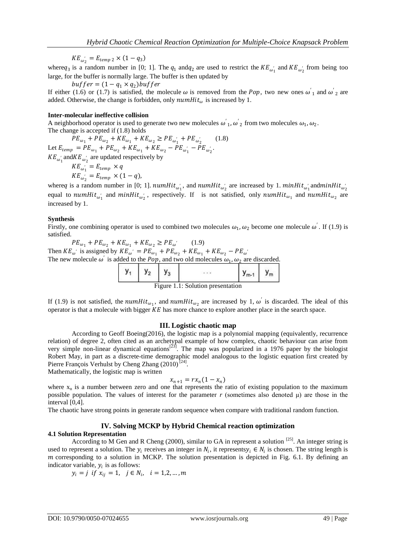$KE_{\omega_2} = E_{temp\ 2} \times (1 - q_3)$ 

where  $q_3$  is a random number in [0; 1]. The  $q_1$  and  $q_2$  are used to restrict the  $KE_{\omega'_1}$  and  $KE_{\omega'_2}$  from being too large, for the buffer is normally large. The buffer is then updated by

 $buffer = (1 - q_1 \times q_2) buffer$ If either (1.6) or (1.7) is satisfied, the molecule  $\omega$  is removed from the Pop, two new ones  $\omega'_1$  and  $\omega'_2$  are added. Otherwise, the change is forbidden, only  $numHit_{\omega}$  is increased by 1.

#### **Inter-molecular ineffective collision**

A neighborhood operator is used to generate two new molecules  $\omega'_1$ ,  $\omega'_2$  from two molecules  $\omega_1$ ,  $\omega_2$ . The change is accepted if (1.8) holds

 $PE_{\omega_1} + PE_{\omega_2} + KE_{\omega_1} + KE_{\omega_2} \geq PE_{\omega'_1} + PE_{\omega'_2}$  $(1.8)$ Let  $E_{temp} = PE_{\omega_1} + PE_{\omega_2} + KE_{\omega_1} + KE_{\omega_2} - PE_{\omega'_1} - PE_{\omega'_2}$ .  $KE_{\omega_1}$  and  $KE_{\omega_2}$  are updated respectively by  $KE_{\omega_1} = E_{temp} \times q$ 

$$
KE_{\omega_2}^{\ \ \cdot \ \ \cdot} = E_{temp} \times (1-q),
$$

where q is a random number in [0; 1].  $numHit_{\omega'_1}$ , and  $numHit_{\omega'_2}$  are increased by 1.  $minHit_{\omega'_1}$  and  $minHit_{\omega'_2}$ equal to  $numHit_{\omega_1}$  and  $minHit_{\omega_2}$ , respectively. If is not satisfied, only  $numHit_{\omega_1}$  and  $numHit_{\omega_2}$  are increased by 1.

#### **Synthesis**

Firstly, one combining operator is used to combined two molecules  $\omega_1$ ,  $\omega_2$  become one molecule  $\omega'$ . If (1.9) is satisfied.

 $PE_{\omega_1} + PE_{\omega_2} + KE_{\omega_1} + KE_{\omega_2} \geq PE_{\omega}$  $(1.9)$ Then  $KE_{\omega}$ ' is assigned by  $KE_{\omega}$ ' =  $PE_{\omega_1} + PE_{\omega_2} + KE_{\omega_1} + KE_{\omega_2} - PE_{\omega}$ ' The new molecule  $\omega'$  is added to the *Pop*, and two old molecules  $\omega_1$ ,  $\omega_2$  are discarded.

|  |  | Figure 1.1: Solution presentation |  |
|--|--|-----------------------------------|--|

If (1.9) is not satisfied, the numHit<sub> $\omega_1$ </sub>, and numHit<sub> $\omega_2$ </sub> are increased by 1,  $\omega$  is discarded. The ideal of this operator is that a molecule with bigger  $KE$  has more chance to explore another place in the search space.

#### **III. Logistic chaotic map**

According to Geoff Boeing(2016), the logistic map is a polynomial mapping (equivalently, recurrence relation) of degree 2, often cited as an archetypal example of how complex, chaotic behaviour can arise from very simple non-linear dynamical equations<sup>[23]</sup>. The map was popularized in a 1976 paper by the biologist Robert May, in part as a discrete-time demographic model analogous to the logistic equation first created by Pierre François Verhulst by Cheng Zhang (2010)<sup>[24]</sup>.

Mathematically, the logistic map is written

$$
x_{n+1} = rx_n(1 - x_n)
$$

where  $x_n$  is a number between zero and one that represents the ratio of existing population to the maximum possible population. The values of interest for the parameter  $r$  (sometimes also denoted  $\mu$ ) are those in the interval [0,4].

The chaotic have strong points in generate random sequence when compare with traditional random function.

## **IV. Solving MCKP by Hybrid Chemical reaction optimization**

#### **4.1 Solution Representation**

According to M Gen and R Cheng (2000), similar to GA in represent a solution  $^{[25]}$ . An integer string is used to represent a solution. The  $y_i$  receives an integer in  $N_i$ , it represents  $y_i \in N_i$  is chosen. The string length is  $m$  corresponding to a solution in MCKP. The solution presentation is depicted in Fig. 6.1. By defining an indicator variable,  $y_i$  is as follows:

$$
y_i = j
$$
 if  $x_{ij} = 1$ ,  $j \in N_i$ ,  $i = 1, 2, ..., m$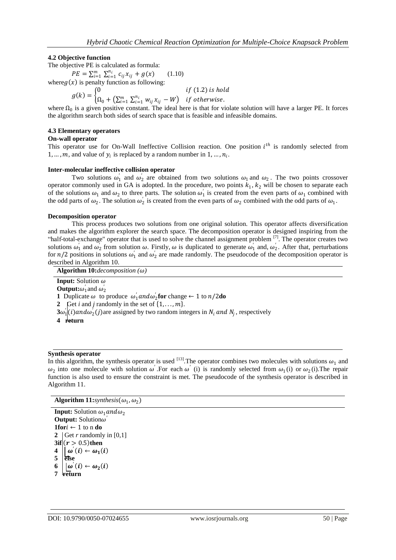## **4.2 Objective function**

The objective PE is calculated as formula:

 $PE = \sum_{i=1}^{m} \sum_{i=1}^{n_i} c_{ij} x_{ij} + g(x)$  (1.10)

where  $g(x)$  is penalty function as following:

 $g(k)=\{$ 0  $if (1.2)$  is hold  $\Omega_0 + \left(\sum_{i=1}^m\,\sum_{i=1}^{n_i}\,w_{ij}\,x_{ij}\,-W\right)\ \ \, \textit{if otherwise}.$ 

where  $\Omega_0$  is a given positive constant. The ideal here is that for violate solution will have a larger PE. It forces the algorithm search both sides of search space that is feasible and infeasible domains.

## **4.3 Elementary operators**

#### **On-wall operator**

This operator use for On-Wall Ineffective Collision reaction. One position  $i<sup>th</sup>$  is randomly selected from 1, ..., *m*, and value of  $y_i$  is replaced by a random number in 1, ...,  $n_i$ .

#### **Inter-molecular ineffective collision operator**

Two solutions  $\omega'_1$  and  $\omega'_2$  are obtained from two solutions  $\omega_1$  and  $\omega_2$ . The two points crossover operator commonly used in GA is adopted. In the procedure, two points  $k_1$ ,  $k_2$  will be chosen to separate each of the solutions  $\omega_1$  and  $\omega_2$  to three parts. The solution  $\omega'_1$  is created from the even parts of  $\omega_1$  combined with the odd parts of  $\omega_2$ . The solution  $\omega_2$  is created from the even parts of  $\omega_2$  combined with the odd parts of  $\omega_1$ .

#### **Decomposition operator**

This process produces two solutions from one original solution. This operator affects diversification and makes the algorithm explorer the search space. The decomposition operator is designed inspiring from the "half-total-exchange" operator that is used to solve the channel assignment problem  $[7]$ . The operator creates two solutions  $\omega'_1$  and  $\omega'_2$  from solution  $\omega$ . Firstly,  $\omega$  is duplicated to generate  $\omega'_1$  and,  $\omega'_2$ . After that, perturbations for  $n/2$  positions in solutions  $\omega'_1$  and  $\omega'_2$  are made randomly. The pseudocode of the decomposition operator is described in Algorithm 10.

**Algorithm 10:***decomposition*  $(\omega)$ **Input:** Solution **Output:** $\omega'_1$  and  $\omega'_2$ **1** Duplicate  $\omega$  to produce  $\omega'_1$  and  $\omega'_2$  for change  $\leftarrow$  1 to n/2 do **2** Get *i* and *j* randomly in the set of  $\{1, \ldots, m\}$ .  $3\omega_1'(i)$  and  $\omega_2'(j)$  are assigned by two random integers in  $N_i$  and  $N_j$ , respectively **4 return**

## **Synthesis operator**

In this algorithm, the synthesis operator is used  $^{[13]}$ . The operator combines two molecules with solutions  $\omega_1$  and  $\omega_2$  into one molecule with solution  $\omega'$ . For each  $\omega'$  (i) is randomly selected from  $\omega_1$ (i) or  $\omega_2$ (i). The repair function is also used to ensure the constraint is met. The pseudocode of the synthesis operator is described in Algorithm 11.

## **Algorithm 11:***synthesis* ( $\omega_1$ ,  $\omega_2$ )

**Input:** Solution  $\omega_1$  and  $\omega_2$ **Output:** Solution $\omega'$ **1for** $i$  ← 1 to n **do 2** Get *r* randomly in [0,1] **3if**  $(r > 0.5)$  then  $4 \mid \mid \omega^{'}(i) \leftarrow \omega_1(i)$  $5$  else  $6 \mid |\omega^{'}(i) \leftarrow \omega_2(i)$ **7 return**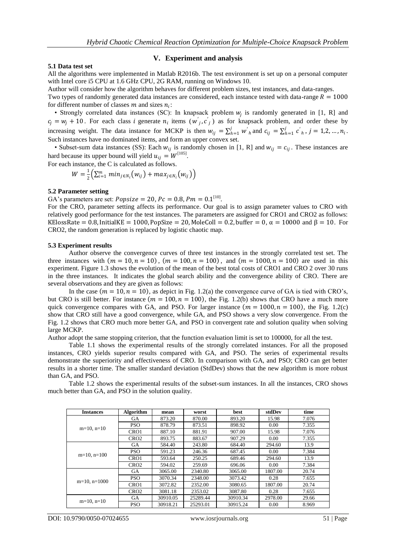#### **5.1 Data test set**

#### **V. Experiment and analysis**

All the algorithms were implemented in Matlab R2016b. The test environment is set up on a personal computer with Intel core i5 CPU at 1.6 GHz CPU, 2G RAM, running on Windows 10.

Author will consider how the algorithm behaves for different problem sizes, test instances, and data-ranges.

Two types of randomly generated data instances are considered, each instance tested with data-range  $R = 1000$ for different number of classes  $m$  and sizes  $n_i$ :

• Strongly correlated data instances (SC): In knapsack problem  $w_j$  is randomly generated in [1, R] and  $c_j = w_j + 10$ . For each class *i* generate  $n_i$  items  $(w'_j, c'_j)$  as for knapsack problem, and order these by increasing weight. The data instance for MCKP is then  $w_{ij} = \sum_{h=1}^{j} w'_{h}$  and  $c_{ij} = \sum_{h=1}^{j} c'_{h}$ ,  $j = 1, 2, ..., n_i$ . Such instances have no dominated items, and form an upper convex set.

• Subset-sum data instances (SS): Each  $w_{ij}$  is randomly chosen in [1, R] and  $w_{ij} = c_{ij}$ . These instances are hard because its upper bound will yield  $u_{ij} = W^{[105]}.$ 

For each instance, the C is calculated as follows.

$$
W=\frac{1}{2}\Big(\sum_{i=1}^m min_{j\in N_i}\big(w_{ij}\big)+max_{j\in N_i}\big(w_{ij}\big)\Big)
$$

#### **5.2 Parameter setting**

GA's parameters are set:  $Popsize = 20$ ,  $Pc = 0.8$ ,  $Pm = 0.1^{[10]}$ .

For the CRO, parameter setting affects its performance. Our goal is to assign parameter values to CRO with relatively good performance for the test instances. The parameters are assigned for CRO1 and CRO2 as follows: KElossRate = 0.8, InitialKE = 1000, PopSize = 20, MoleColl = 0.2, buffer = 0,  $\alpha$  = 10000 and  $\beta$  = 10. For CRO2, the random generation is replaced by logistic chaotic map.

#### **5.3 Experiment results**

Author observe the convergence curves of three test instances in the strongly correlated test set. The three instances with  $(m = 10, n = 10)$ ,  $(m = 100, n = 100)$ , and  $(m = 1000, n = 100)$  are used in this experiment. Figure 1.3 shows the evolution of the mean of the best total costs of CRO1 and CRO 2 over 30 runs in the three instances. It indicates the global search ability and the convergence ability of CRO. There are several observations and they are given as follows:

In the case  $(m = 10, n = 10)$ , as depict in Fig. 1.2(a) the convergence curve of GA is tied with CRO's, but CRO is still better. For instance  $(m = 100, n = 100)$ , the Fig. 1.2(b) shows that CRO have a much more quick convergence compares with GA, and PSO. For larger instance  $(m = 1000, n = 100)$ , the Fig. 1.2(c) show that CRO still have a good convergence, while GA, and PSO shows a very slow convergence. From the Fig. 1.2 shows that CRO much more better GA, and PSO in convergent rate and solution quality when solving large MCKP.

Author adopt the same stopping criterion, that the function evaluation limit is set to 100000, for all the test.

Table 1.1 shows the experimental results of the strongly correlated instances. For all the proposed instances, CRO yields superior results compared with GA, and PSO. The series of experimental results demonstrate the superiority and effectiveness of CRO. In comparison with GA, and PSO; CRO can get better results in a shorter time. The smaller standard deviation (StdDev) shows that the new algorithm is more robust than GA, and PSO.

Table 1.2 shows the experimental results of the subset-sum instances. In all the instances, CRO shows much better than GA, and PSO in the solution quality.

| <b>Instances</b>  | Algorithm        | mean     | worst    | best     | stdDev  | time  |
|-------------------|------------------|----------|----------|----------|---------|-------|
|                   | <b>GA</b>        | 873.20   | 870.00   | 893.20   | 15.98   | 7.076 |
| $m=10$ , $n=10$   | <b>PSO</b>       | 878.79   | 873.51   | 898.92   | 0.00    | 7.355 |
|                   | CRO <sub>1</sub> | 887.10   | 881.91   | 907.00   | 15.98   | 7.076 |
|                   | CRO <sub>2</sub> | 893.75   | 883.67   | 907.29   | 0.00    | 7.355 |
|                   | <b>GA</b>        | 584.40   | 243.80   | 684.40   | 294.60  | 13.9  |
| $m=10$ , $n=100$  | <b>PSO</b>       | 591.23   | 246.36   | 687.45   | 0.00    | 7.384 |
|                   | CRO <sub>1</sub> | 593.64   | 250.25   | 689.46   | 294.60  | 13.9  |
|                   | CRO <sub>2</sub> | 594.02   | 259.69   | 696.06   | 0.00    | 7.384 |
|                   | <b>GA</b>        | 3065.00  | 2340.80  | 3065.00  | 1807.00 | 20.74 |
| $m=10$ , $n=1000$ | <b>PSO</b>       | 3070.34  | 2348.00  | 3073.42  | 0.28    | 7.655 |
|                   | CRO <sub>1</sub> | 3072.82  | 2352.00  | 3080.65  | 1807.00 | 20.74 |
|                   | CR <sub>O2</sub> | 3081.18  | 2353.02  | 3087.80  | 0.28    | 7.655 |
| $m=10$ , $n=10$   | <b>GA</b>        | 30910.05 | 25289.44 | 30910.34 | 2978.00 | 29.66 |
|                   | <b>PSO</b>       | 30918.21 | 25293.01 | 30915.24 | 0.00    | 8.969 |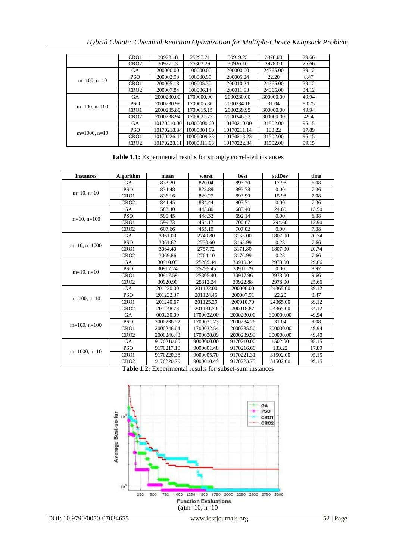*Hybrid Chaotic Chemical Reaction Optimization for Multiple-Choice Knapsack Problem*

|                   | CRO <sub>1</sub> | 30923.18    | 25297.21    | 30919.25    | 2978.00   | 29.66 |
|-------------------|------------------|-------------|-------------|-------------|-----------|-------|
|                   | CRO <sub>2</sub> | 30927.13    | 25303.29    | 30926.10    | 2978.00   | 25.66 |
|                   | <b>GA</b>        | 200000.00   | 100000.00   | 200000.00   | 24365.00  | 39.12 |
|                   | <b>PSO</b>       | 200002.93   | 100000.95   | 200005.24   | 22.20     | 8.47  |
| $m=100$ , $n=10$  | CRO1             | 200005.18   | 100005.30   | 200010.24   | 24365.00  | 39.12 |
|                   | CRO <sub>2</sub> | 200007.84   | 100006.14   | 200011.83   | 24365.00  | 34.12 |
|                   | <b>GA</b>        | 2000230.00  | 1700000.00  | 2000230.00  | 300000.00 | 49.94 |
| $m=100$ , $n=100$ | <b>PSO</b>       | 2000230.99  | 1700005.80  | 2000234.16  | 31.04     | 9.075 |
|                   | CRO <sub>1</sub> | 2000235.89  | 1700015.15  | 2000239.95  | 300000.00 | 49.94 |
|                   | CRO <sub>2</sub> | 2000238.94  | 1700021.73  | 2000246.53  | 300000.00 | 49.4  |
|                   | <b>GA</b>        | 10170210.00 | 10000000.00 | 10170210.00 | 31502.00  | 95.15 |
| $m=1000$ , $n=10$ | <b>PSO</b>       | 10170218.34 | 10000004.60 | 10170211.14 | 133.22    | 17.89 |
|                   | CRO <sub>1</sub> | 10170226.44 | 10000009.73 | 10170213.23 | 31502.00  | 95.15 |
|                   | CRO <sub>2</sub> | 10170228.11 | 10000011.93 | 10170222.34 | 31502.00  | 99.15 |

**Table 1.1:** Experimental results for strongly correlated instances

| <b>Instances</b>  | <b>Algorithm</b> | mean       | worst      | best       | stdDev    | time  |
|-------------------|------------------|------------|------------|------------|-----------|-------|
| $m=10$ , $n=10$   | GA               | 833.20     | 820.04     | 893.20     | 17.98     | 6.08  |
|                   | <b>PSO</b>       | 834.48     | 823.89     | 893.78     | 0.00      | 7.36  |
|                   | CRO <sub>1</sub> | 836.16     | 829.27     | 893.99     | 15.98     | 7.08  |
|                   | CRO <sub>2</sub> | 844.45     | 834.44     | 903.71     | 0.00      | 7.36  |
|                   | <b>GA</b>        | 582.40     | 443.80     | 683.40     | 24.60     | 13.90 |
| $m=10$ , $n=100$  | <b>PSO</b>       | 590.45     | 448.32     | 692.14     | 0.00      | 6.38  |
|                   | CRO1             | 599.73     | 454.17     | 700.07     | 294.60    | 13.90 |
|                   | CRO <sub>2</sub> | 607.66     | 455.19     | 707.02     | 0.00      | 7.38  |
|                   | GA               | 3061.00    | 2740.80    | 3165.00    | 1807.00   | 20.74 |
| $m=10$ , $n=1000$ | <b>PSO</b>       | 3061.62    | 2750.60    | 3165.99    | 0.28      | 7.66  |
|                   | CRO1             | 3064.40    | 2757.72    | 3171.80    | 1807.00   | 20.74 |
|                   | CRO2             | 3069.86    | 2764.10    | 3176.99    | 0.28      | 7.66  |
|                   | <b>GA</b>        | 30910.05   | 25289.44   | 30910.34   | 2978.00   | 29.66 |
|                   | <b>PSO</b>       | 30917.24   | 25295.45   | 30911.79   | 0.00      | 8.97  |
| $m=10$ , $n=10$   | CRO1             | 30917.59   | 25305.40   | 30917.96   | 2978.00   | 9.66  |
|                   | CRO <sub>2</sub> | 30920.90   | 25312.24   | 30922.88   | 2978.00   | 25.66 |
|                   | <b>GA</b>        | 201230.00  | 201122.00  | 200000.00  | 24365.00  | 39.12 |
|                   | <b>PSO</b>       | 201232.37  | 201124.45  | 200007.91  | 22.20     | 8.47  |
| $m=100$ , $n=10$  | CRO1             | 201240.67  | 201125.29  | 200010.70  | 24365.00  | 39.12 |
|                   | CRO2             | 201248.73  | 201131.73  | 200018.87  | 24365.00  | 34.12 |
|                   | <b>GA</b>        | 000230.00  | 1700022.00 | 2000230.00 | 300000.00 | 49.94 |
| $m=100$ , $n=100$ | <b>PSO</b>       | 2000236.52 | 1700031.23 | 2000234.26 | 31.04     | 9.08  |
|                   | CRO1             | 2000246.04 | 1700032.54 | 2000235.50 | 300000.00 | 49.94 |
|                   | CRO <sub>2</sub> | 2000246.43 | 1700038.89 | 2000239.93 | 300000.00 | 49.40 |
|                   | <b>GA</b>        | 9170210.00 | 9000000.00 | 9170210.00 | 1502.00   | 95.15 |
| $m=1000$ , $n=10$ | <b>PSO</b>       | 9170217.10 | 9000001.48 | 9170216.60 | 133.22    | 17.89 |
|                   | CRO1             | 9170220.38 | 9000005.70 | 9170221.31 | 31502.00  | 95.15 |
|                   | CRO <sub>2</sub> | 9170220.79 | 9000010.49 | 9170223.73 | 31502.00  | 99.15 |

**Table 1.2:** Experimental results for subset-sum instances

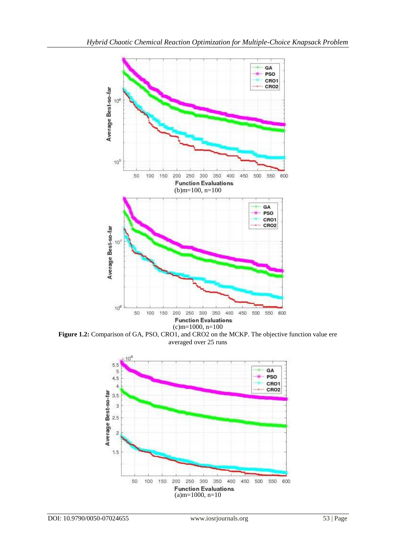

**Figure 1.2:** Comparison of GA, PSO, CRO1, and CRO2 on the MCKP. The objective function value ere averaged over 25 runs

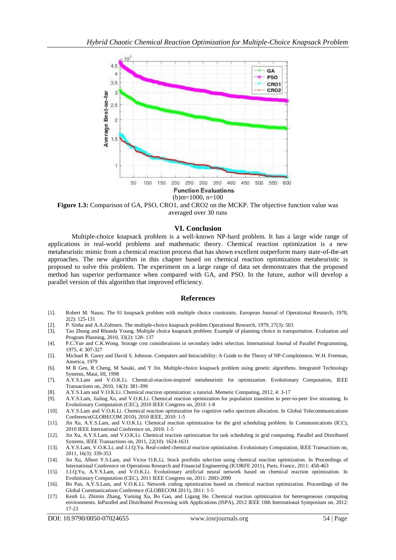

**Figure 1.3:** Comparison of GA, PSO, CRO1, and CRO2 on the MCKP. The objective function value was averaged over 30 runs

## **VI. Conclusion**

Multiple-choice knapsack problem is a well-known NP-hard problem. It has a large wide range of applications in real-world problems and mathematic theory. Chemical reaction optimization is a new metaheuristic mimic from a chemical reaction process that has shown excellent outperform many state-of-the-art approaches. The new algorithm in this chapter based on chemical reaction optimization metaheuristic is proposed to solve this problem. The experiment on a large range of data set demonstrates that the proposed method has superior performance when compared with GA, and PSO. In the future, author will develop a parallel version of this algorithm that improved efficiency.

#### **References**

- [1]. Robert M. Nauss. The 01 knapsack problem with multiple choice constraints. European Journal of Operational Research, 1978, 2(2): 125-131
- [2]. P. Sinha and A.A.Zoltners. The multiple-choice knapsack problem.Operational Research, 1979, 27(3): 503
- [3]. Tao Zhong and Rhonda Young. Multiple choice knapsack problem: Example of planning choice in transportation. Evaluation and Program Planning, 2010, 33(2): 128- 137
- [4]. P.C.Yue and C.K.Wong. Storage cost considerations in secondary index selection. International Journal of Parallel Programming, 1975, 4: 307-327
- [5]. Michael R. Garey and David S. Johnson. Computers and Intractability: A Guide to the Theory of NP-Completeness. W.H. Freeman, America, 1979
- [6]. M R Gen, R Cheng, M Sasaki, and Y Jin. Multiple-choice knapsack problem using genetic algorithms. Integrated Technology Systems, Maui, HI, 1998
- [7]. A.Y.S.Lam and V.O.K.Li. Chemical-reaction-inspired metaheuristic for optimization. Evolutionary Computation, IEEE Transactions on, 2010, 14(3): 381-399
- [8]. A.Y.S.Lam and V.O.K.Li. Chemical reaction optimization: a tutorial. Memetic Computing, 2012, 4: 3-17
- [9]. A.Y.S.Lam, Jialing Xu, and V.O.K.Li. Chemical reaction optimization for population transition in peer-to-peer live streaming. In Evolutionary Computation (CEC), 2010 IEEE Congress on, 2010: 1-8
- [10]. A.Y.S.Lam and V.O.K.Li. Chemical reaction optimization for cognitive radio spectrum allocation. In Global Telecommunications Conference(GLOBECOM 2010), 2010 IEEE, 2010: 1-5
- [11]. Jin Xu, A.Y.S.Lam, and V.O.K.Li. Chemical reaction optimization for the grid scheduling problem. In Communications (ICC), 2010 IEEE International Conference on, 2010: 1-5
- [12]. Jin Xu, A.Y.S.Lam, and V.O.K.Li. Chemical reaction optimization for task scheduling in grid computing. Parallel and Distributed Systems, IEEE Transactions on, 2011, 22(10): 1624-1631
- [13]. A.Y.S.Lam, V.O.K.Li, and J.J.Q.Yu. Real-coded chemical reaction optimization. Evolutionary Computation, IEEE Transactions on, 2011, 16(3): 339-353
- [14]. Jin Xu, Albert Y.S.Lam, and Victor O.K.Li. Stock portfolio selection using chemical reaction optimization. In Proceedings of International Conference on Operations Research and Financial Engineering (ICORFE 2011), Paris, France, 2011: 458-463
- [15]. J.J.Q.Yu, A.Y.S.Lam, and V.O.K.Li. Evolutionary artificial neural network based on chemical reaction optimization. In Evolutionary Computation (CEC), 2011 IEEE Congress on, 2011: 2083-2090
- [16]. Bo Pan, A.Y.S.Lam, and V.O.K.Li. Network coding optimization based on chemical reaction optimization. Proceedings of the Global Communications Conference (GLOBECOM 2011), 2011: 1-5
- [17]. Kenli Li, Zhimin Zhang, Yuming Xu, Bo Gao, and Ligang He. Chemical reaction optimization for heterogeneous computing environments. InParallel and Distributed Processing with Applications (ISPA), 2012 IEEE 10th International Symposium on, 2012: 17-23